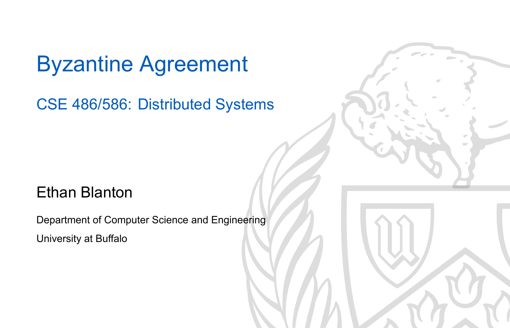#### Byzantine Agreement

CSE 486/586: Distributed Systems

#### Ethan Blanton

Department of Computer Science and Engineering University at Buffalo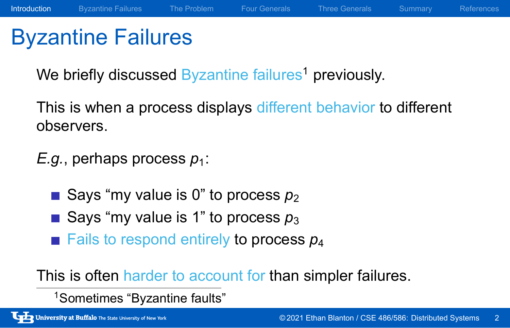### Byzantine Failures

We briefly discussed Byzantine failures<sup>1</sup> previously.

This is when a process displays different behavior to different observers.

Introduction Byzantine Failures The Problem Four Generals Three Generals Summary References

*E.g.*, perhaps process  $p_1$ :

- Says "my value is  $0$ " to process  $p_2$
- Says "my value is 1" to process  $p_3$
- **Fails to respond entirely to process**  $p_4$

This is often harder to account for than simpler failures.

<sup>1</sup>Sometimes "Byzantine faults"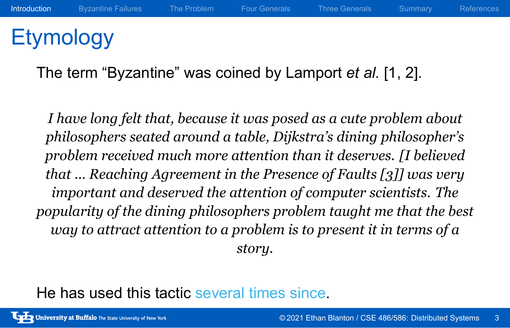#### **Etymology**

The term "Byzantine" was coined by Lamport *et al.* [1, 2].

*I have long felt that, because it was posed as a cute problem about philosophers seated around a table, Dijkstra's dining philosopher's problem received much more attention than it deserves. [I believed that … Reaching Agreement in the Presence of Faults [3]] was very important and deserved the attention of computer scientists. The popularity of the dining philosophers problem taught me that the best way to attract attention to a problem is to present it in terms of a story.*

Introduction Byzantine Failures The Problem Four Generals Three Generals Summary References

He has used this tactic several times since.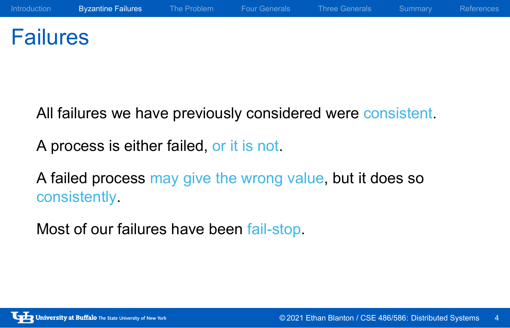#### Failures

All failures we have previously considered were consistent.

A process is either failed, or it is not.

A failed process may give the wrong value, but it does so consistently.

Most of our failures have been fail-stop.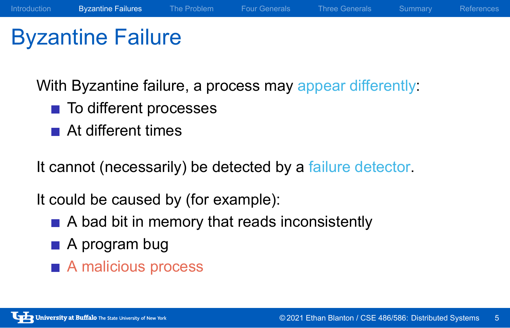#### Byzantine Failure

With Byzantine failure, a process may appear differently:

Introduction Byzantine Failures The Problem Four Generals Three Generals Summary References

- To different processes
- At different times

It cannot (necessarily) be detected by a failure detector.

It could be caused by (for example):

- A bad bit in memory that reads inconsistently
- A program bug
- A malicious process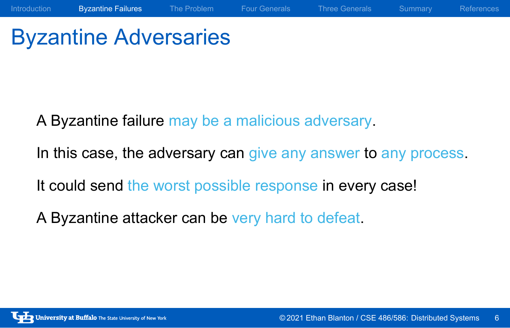### Byzantine Adversaries

A Byzantine failure may be a malicious adversary.

In this case, the adversary can give any answer to any process.

Introduction **Byzantine Failures** The Problem Four Generals Three Generals Summary References

It could send the worst possible response in every case!

A Byzantine attacker can be very hard to defeat.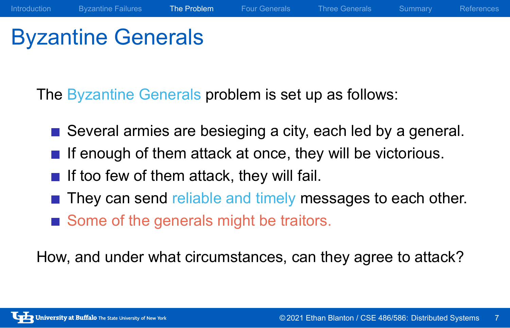### Byzantine Generals

The Byzantine Generals problem is set up as follows:

Several armies are besieging a city, each led by a general.

Introduction Byzantine Failures The Problem Four Generals Three Generals Summary References

- $\blacksquare$  If enough of them attack at once, they will be victorious.
- $\blacksquare$  If too few of them attack, they will fail.
- They can send reliable and timely messages to each other.
- Some of the generals might be traitors.

How, and under what circumstances, can they agree to attack?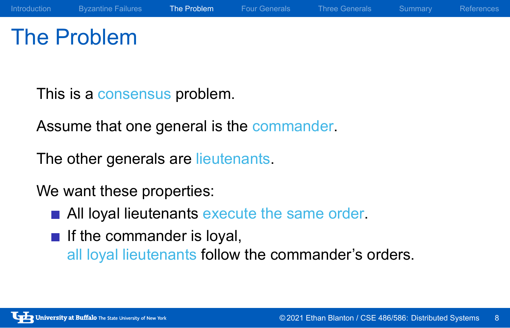#### The Problem

This is a consensus problem.

Assume that one general is the commander.

The other generals are lieutenants.

We want these properties:

- All loyal lieutenants execute the same order.
- $\blacksquare$  If the commander is loyal, all loyal lieutenants follow the commander's orders.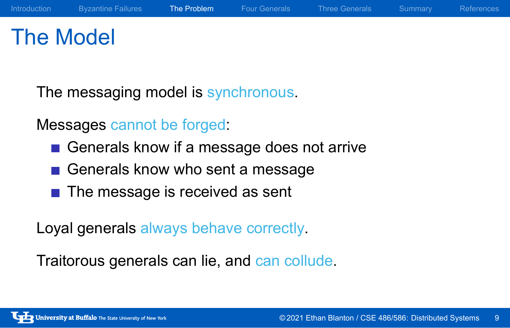#### The Model

The messaging model is synchronous.

Messages cannot be forged:

- Generals know if a message does not arrive
- Generals know who sent a message
- The message is received as sent

Loyal generals always behave correctly.

Traitorous generals can lie, and can collude.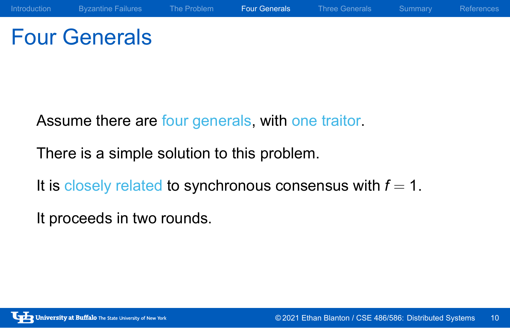### Four Generals

Assume there are four generals, with one traitor.

There is a simple solution to this problem.

It is closely related to synchronous consensus with  $f = 1$ .

It proceeds in two rounds.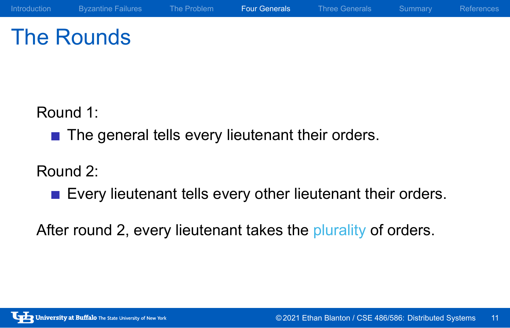### The Rounds

Introduction Byzantine Failures The Problem Four Generals Three Generals Summary References

Round 1:

■ The general tells every lieutenant their orders.

#### Round 2:

**Every lieutenant tells every other lieutenant their orders.** 

After round 2, every lieutenant takes the plurality of orders.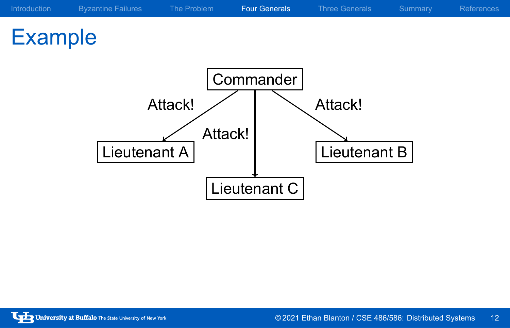### Example

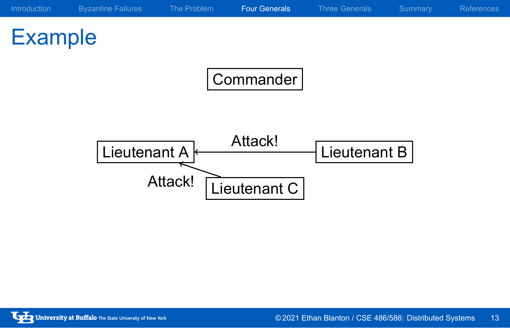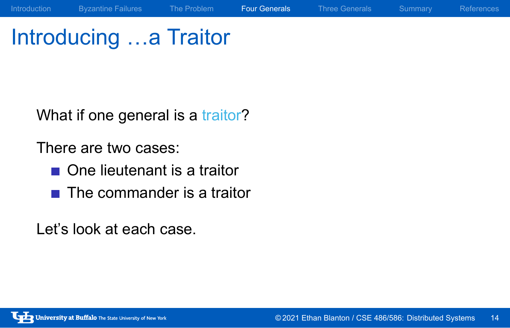### Introducing …a Traitor

Introduction Byzantine Failures The Problem Four Generals Three Generals Summary References

What if one general is a traitor?

There are two cases:

- One lieutenant is a traitor
- The commander is a traitor

Let's look at each case.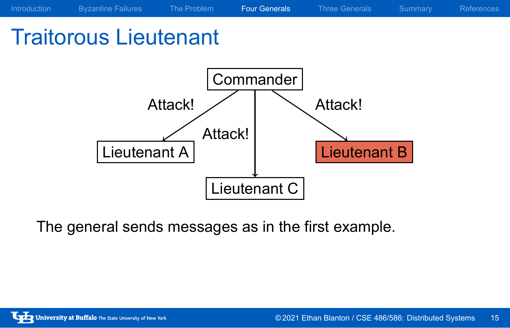### Traitorous Lieutenant



The general sends messages as in the first example.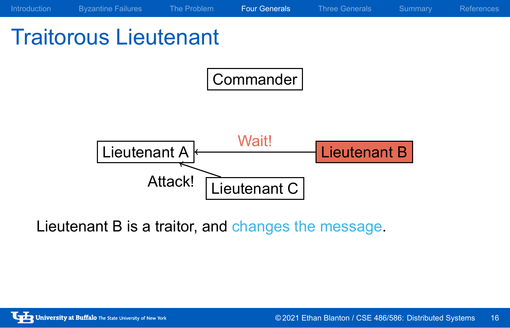### Introduction Byzantine Failures The Problem Four Generals Three Generals Summary References Traitorous Lieutenant Commander Lieutenant A <u>Wall</u> Lieutenant B Lieutenant C Wait! Attack!

Lieutenant B is a traitor, and changes the message.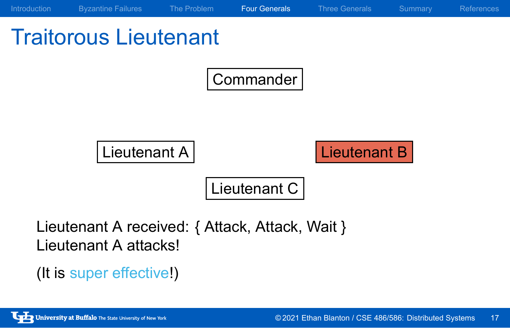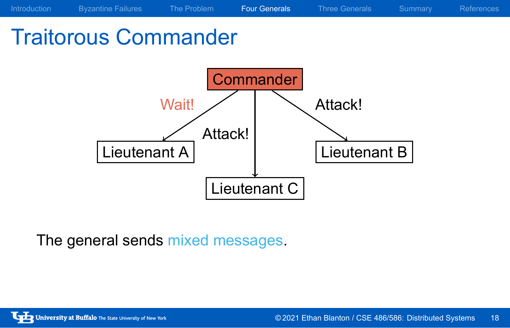### Traitorous Commander



The general sends mixed messages.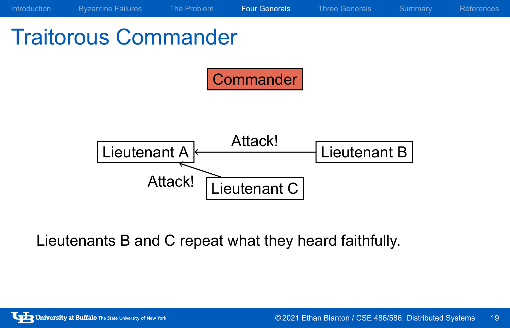### Traitorous Commander Commander Lieutenant A Rudck! Lieutenant B Lieutenant C Attack! Attack!

Introduction Byzantine Failures The Problem Four Generals Three Generals Summary References

Lieutenants B and C repeat what they heard faithfully.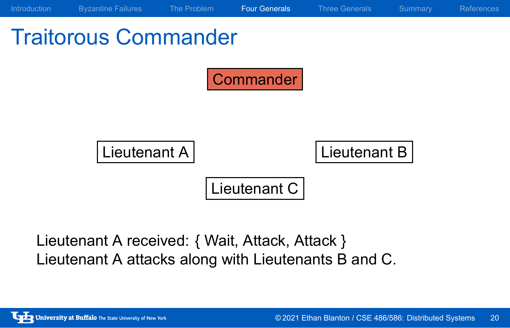| Introduction                | <b>Byzantine Failures</b> | The Problem | <b>Four Generals</b> | <b>Three Generals</b> | Summary | <b>References</b> |
|-----------------------------|---------------------------|-------------|----------------------|-----------------------|---------|-------------------|
| <b>Traitorous Commander</b> |                           |             |                      |                       |         |                   |
|                             |                           |             | Commander            |                       |         |                   |
|                             |                           |             |                      |                       |         |                   |
|                             | Lieutenant A              |             |                      | Lieutenant B          |         |                   |
|                             |                           |             | Lieutenant C         |                       |         |                   |
|                             |                           |             |                      |                       |         |                   |

Lieutenant A received: { Wait, Attack, Attack } Lieutenant A attacks along with Lieutenants B and C.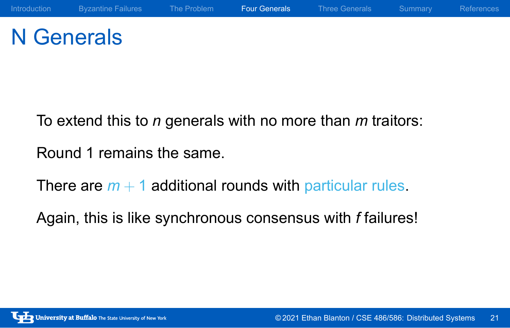### N Generals

To extend this to *n* generals with no more than *m* traitors:

Round 1 remains the same.

There are  $m + 1$  additional rounds with particular rules.

Again, this is like synchronous consensus with *f* failures!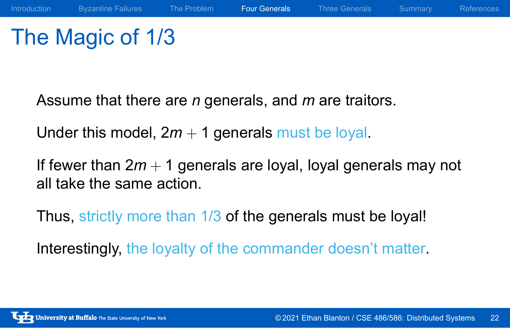### The Magic of 1/3

Assume that there are *n* generals, and *m* are traitors.

Under this model,  $2m + 1$  generals must be loyal.

If fewer than 2*m* + 1 generals are loyal, loyal generals may not all take the same action.

Thus, strictly more than 1/3 of the generals must be loyal!

Interestingly, the loyalty of the commander doesn't matter.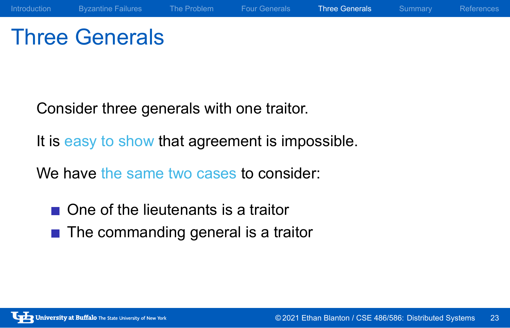### Three Generals

Consider three generals with one traitor.

It is easy to show that agreement is impossible.

We have the same two cases to consider:

- One of the lieutenants is a traitor
- $\blacksquare$  The commanding general is a traitor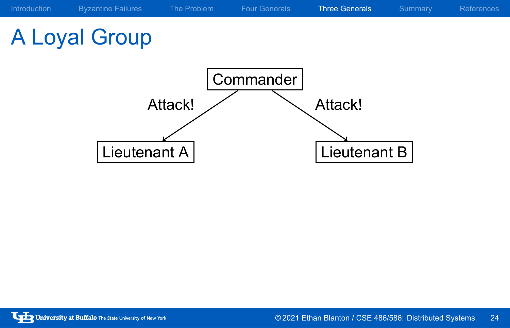### A Loyal Group

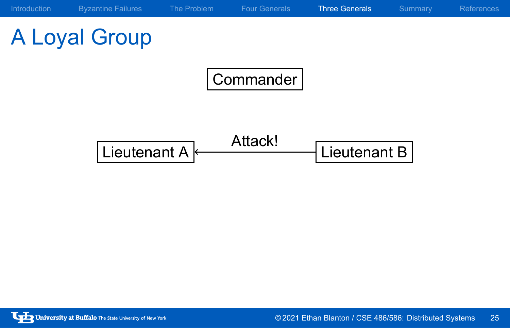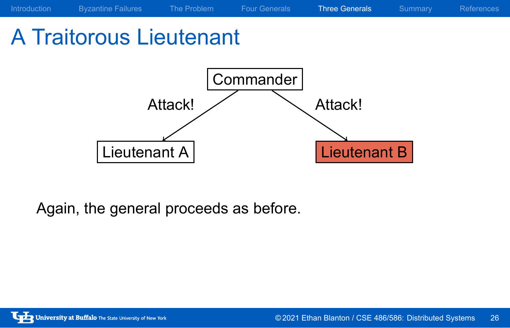### A Traitorous Lieutenant



Again, the general proceeds as before.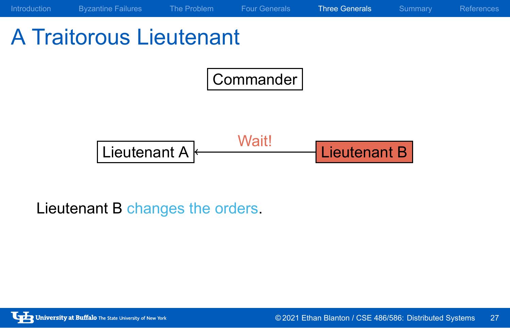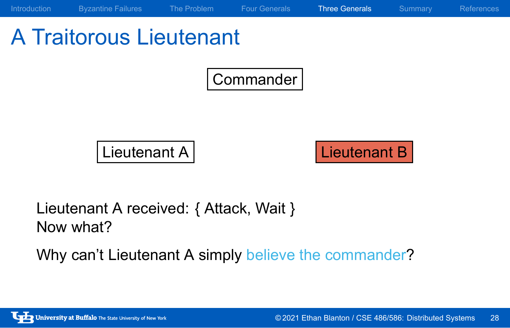# A Traitorous Lieutenant

Commander Lieutenant A Lieutenant B Lieutenant A received: { Attack, Wait } Now what?

Introduction Byzantine Failures The Problem Four Generals Three Generals Summary References

Why can't Lieutenant A simply believe the commander?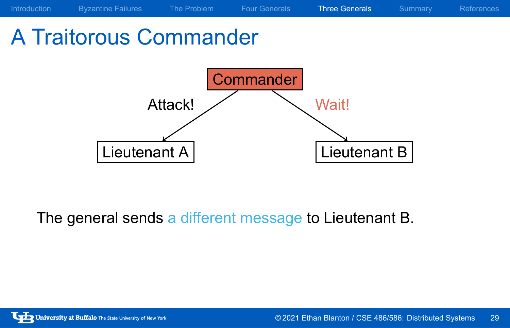## A Traitorous Commander Commander Lieutenant A |  $\vert$  Lieutenant B Attack! Wait!

Introduction Byzantine Failures The Problem Four Generals Three Generals Summary References

The general sends a different message to Lieutenant B.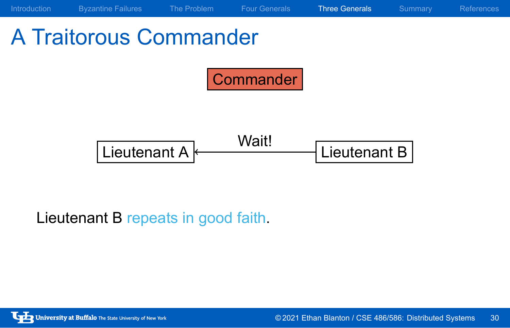

Lieutenant B repeats in good faith.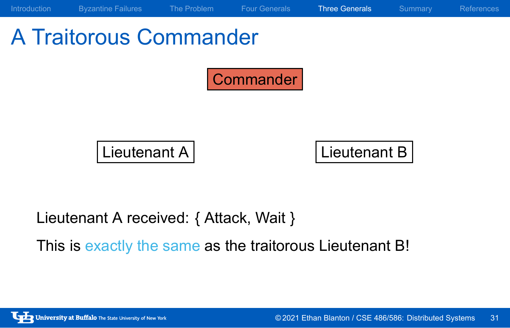

This is exactly the same as the traitorous Lieutenant B!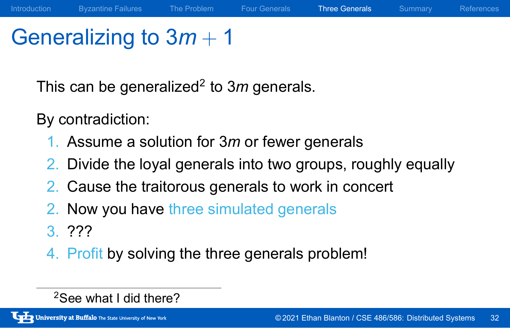### Generalizing to 3*m* + 1

This can be generalized<sup>2</sup> to 3m generals.

By contradiction:

- 1. Assume a solution for 3*m* or fewer generals
- 2. Divide the loyal generals into two groups, roughly equally

Introduction Byzantine Failures The Problem Four Generals Three Generals Summary References

- 2. Cause the traitorous generals to work in concert
- 2. Now you have three simulated generals
- 3. ???
- 4. Profit by solving the three generals problem!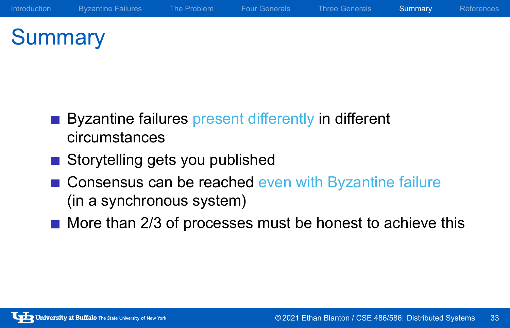### **Summary**

Byzantine failures present differently in different circumstances

- Storytelling gets you published
- **Consensus can be reached even with Byzantine failure** (in a synchronous system)

Introduction Byzantine Failures The Problem Four Generals Three Generals Summary References

 $\blacksquare$  More than 2/3 of processes must be honest to achieve this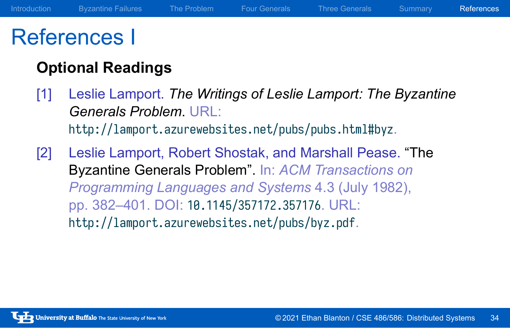#### References I

#### **Optional Readings**

- [1] Leslie Lamport. *The Writings of Leslie Lamport: The Byzantine Generals Problem*. URL: http://lamport.azurewebsites.net/pubs/pubs.html#byz.
- [2] Leslie Lamport, Robert Shostak, and Marshall Pease. "The Byzantine Generals Problem". In: *ACM Transactions on Programming Languages and Systems* 4.3 (July 1982), pp. 382–401. DOI: 10.1145/357172.357176. URL: http://lamport.azurewebsites.net/pubs/byz.pdf.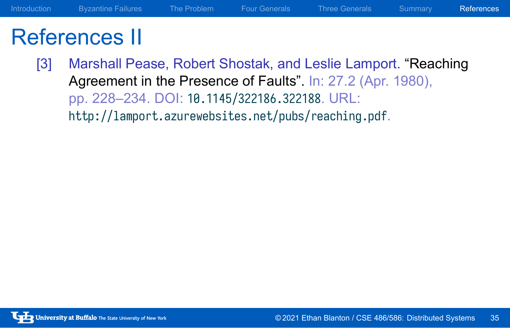#### References II

[3] Marshall Pease, Robert Shostak, and Leslie Lamport. "Reaching Agreement in the Presence of Faults". In: 27.2 (Apr. 1980), pp. 228–234. DOI: 10.1145/322186.322188. URL: http://lamport.azurewebsites.net/pubs/reaching.pdf.

Introduction Byzantine Failures The Problem Four Generals Three Generals Summary References